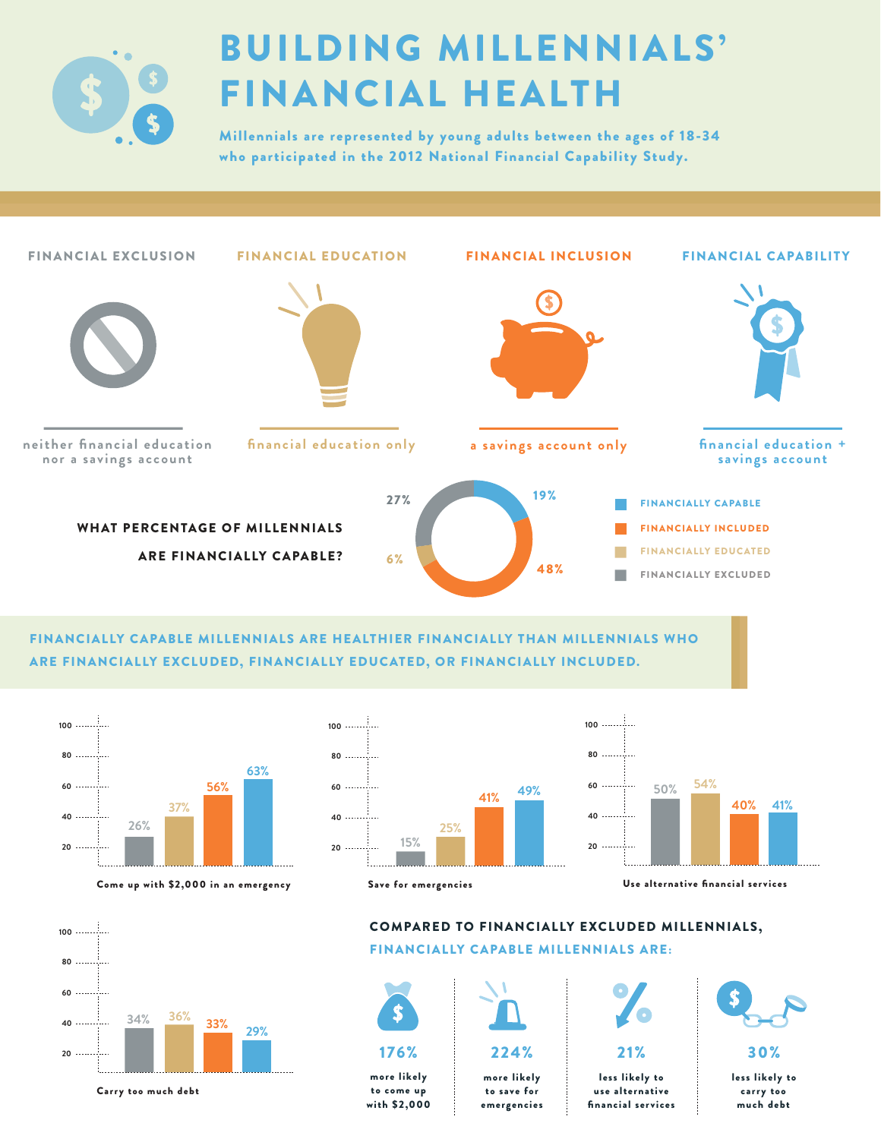

# BUILDING MILLENNIALS' FINANCIAL HEALTH

Millennials are represented by young adults between the ages of 18-34 who participated in the 2012 National Financial Capability Study.



FINANCIALLY CAPABLE MILLENNIALS ARE HEALTHIER FINANCIALLY THAN MILLENNIALS WHO ARE FINANCIALLY EXCLUDED, FINANCIALLY EDUCATED, OR FINANCIALLY INCLUDED.



Come up with \$2,000 in an emergency Save for emergencies





Carry too much debt

### COMPARED TO FINANCIALLY EXCLUDED MILLENNIALS, FINANCIALLY CAPABLE MILLENNIALS ARE:



more likely to come up with \$2,000



more likely to save for emergencies

224%



less likely to use alternative financial services



30%

less likely to carry too much debt